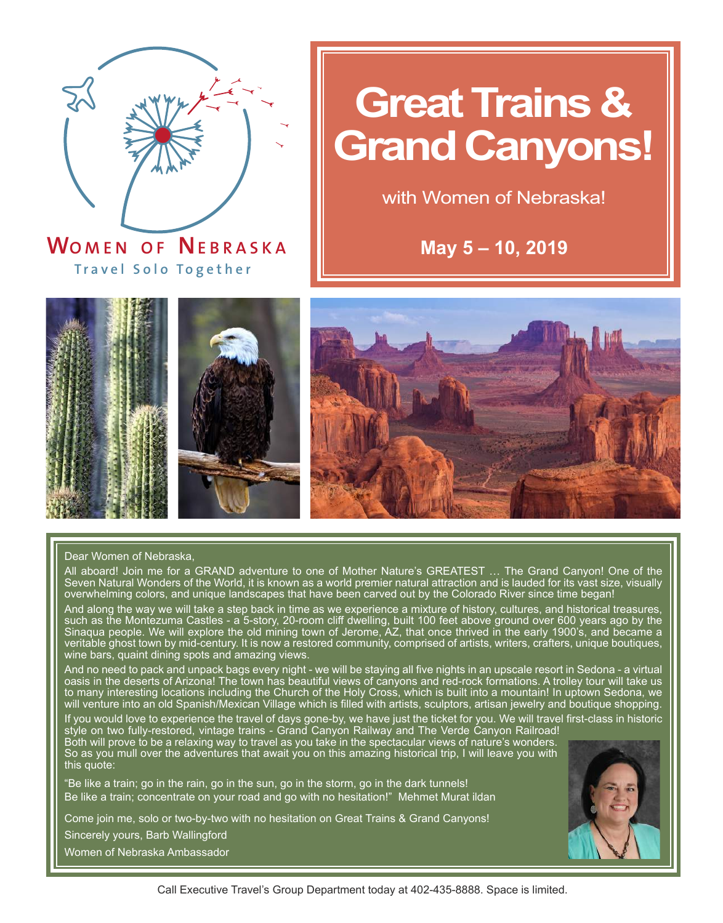

**WO MEN O F NEBRASK <sup>A</sup> T r a v el Solo T o gether**

# **Great Trains & Grand Canyons!**

with Women of Nebraska!

**May 5 – 10, 2019**





#### Dear Women of Nebraska,

All aboard! Join me for a GRAND adventure to one of Mother Nature's GREATEST … The Grand Canyon! One of the Seven Natural Wonders of the World, it is known as a world premier natural attraction and is lauded for its vast size, visually overwhelming colors, and unique landscapes that have been carved out by the Colorado River since time began!

And along the way we will take a step back in time as we experience a mixture of history, cultures, and historical treasures, such as the Montezuma Castles - a 5-story, 20-room cliff dwelling, built 100 feet above ground over 600 years ago by the Sinaqua people. We will explore the old mining town of Jerome, AZ, that once thrived in the early 1900's, and became a veritable ghost town by mid-century. It is now a restored community, comprised of artists, writers, crafters, unique boutiques, wine bars, quaint dining spots and amazing views.

And no need to pack and unpack bags every night - we will be staying all five nights in an upscale resort in Sedona - a virtual oasis in the deserts of Arizona! The town has beautiful views of canyons and red-rock formations. A trolley tour will take us to many interesting locations including the Church of the Holy Cross, which is built into a mountain! In uptown Sedona, we will venture into an old Spanish/Mexican Village which is filled with artists, sculptors, artisan jewelry and boutique shopping.

If you would love to experience the travel of days gone-by, we have just the ticket for you. We will travel first-class in historic style on two fully-restored, vintage trains - Grand Canyon Railway and The Verde Canyon Railroad! Both will prove to be a relaxing way to travel as you take in the spectacular views of nature's wonders.

So as you mull over the adventures that await you on this amazing historical trip, I will leave you with this quote:

"Be like a train; go in the rain, go in the sun, go in the storm, go in the dark tunnels! Be like a train; concentrate on your road and go with no hesitation!" Mehmet Murat ildan

Come join me, solo or two-by-two with no hesitation on Great Trains & Grand Canyons!

Sincerely yours, Barb Wallingford

Women of Nebraska Ambassador

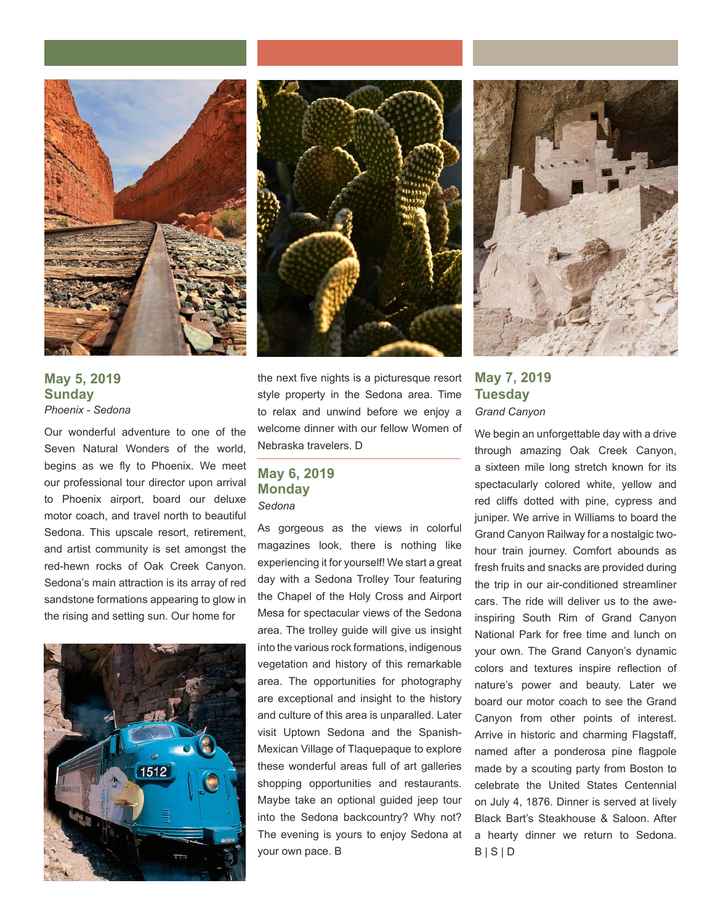

**May 5, 2019 Sunday** *Phoenix - Sedona*

Our wonderful adventure to one of the Seven Natural Wonders of the world, begins as we fly to Phoenix. We meet our professional tour director upon arrival to Phoenix airport, board our deluxe motor coach, and travel north to beautiful Sedona. This upscale resort, retirement, and artist community is set amongst the red-hewn rocks of Oak Creek Canyon. Sedona's main attraction is its array of red sandstone formations appearing to glow in the rising and setting sun. Our home for





the next five nights is a picturesque resort style property in the Sedona area. Time to relax and unwind before we enjoy a welcome dinner with our fellow Women of Nebraska travelers. D

## **May 6, 2019 Monday** *Sedona*

As gorgeous as the views in colorful magazines look, there is nothing like experiencing it for yourself! We start a great day with a Sedona Trolley Tour featuring the Chapel of the Holy Cross and Airport Mesa for spectacular views of the Sedona area. The trolley guide will give us insight into the various rock formations, indigenous vegetation and history of this remarkable area. The opportunities for photography are exceptional and insight to the history and culture of this area is unparalled. Later visit Uptown Sedona and the Spanish-Mexican Village of Tlaquepaque to explore these wonderful areas full of art galleries shopping opportunities and restaurants. Maybe take an optional guided jeep tour into the Sedona backcountry? Why not? The evening is yours to enjoy Sedona at your own pace. B



**May 7, 2019 Tuesday** *Grand Canyon*

We begin an unforgettable day with a drive through amazing Oak Creek Canyon, a sixteen mile long stretch known for its spectacularly colored white, yellow and red cliffs dotted with pine, cypress and juniper. We arrive in Williams to board the Grand Canyon Railway for a nostalgic twohour train journey. Comfort abounds as fresh fruits and snacks are provided during the trip in our air-conditioned streamliner cars. The ride will deliver us to the aweinspiring South Rim of Grand Canyon National Park for free time and lunch on your own. The Grand Canyon's dynamic colors and textures inspire reflection of nature's power and beauty. Later we board our motor coach to see the Grand Canyon from other points of interest. Arrive in historic and charming Flagstaff, named after a ponderosa pine flagpole made by a scouting party from Boston to celebrate the United States Centennial on July 4, 1876. Dinner is served at lively Black Bart's Steakhouse & Saloon. After a hearty dinner we return to Sedona.  $B | S | D$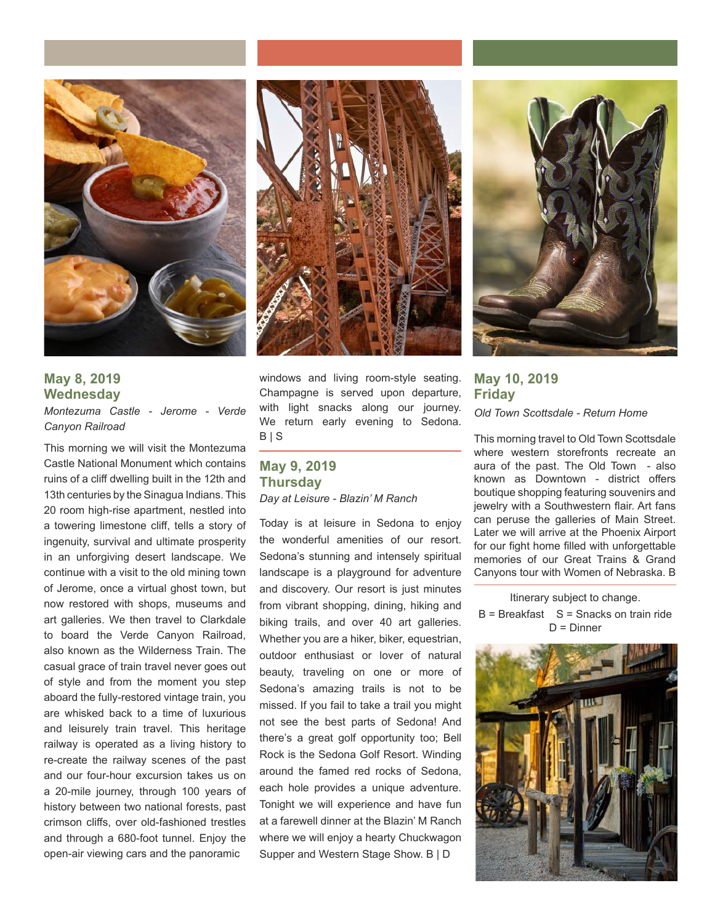



*Montezuma Castle - Jerome - Verde Canyon Railroad*

This morning we will visit the Montezuma Castle National Monument which contains ruins of a cliff dwelling built in the 12th and 13th centuries by the Sinagua Indians. This 20 room high-rise apartment, nestled into a towering limestone cliff, tells a story of ingenuity, survival and ultimate prosperity in an unforgiving desert landscape. We continue with a visit to the old mining town of Jerome, once a virtual ghost town, but now restored with shops, museums and art galleries. We then travel to Clarkdale to board the Verde Canyon Railroad, also known as the Wilderness Train. The casual grace of train travel never goes out of style and from the moment you step aboard the fully-restored vintage train, you are whisked back to a time of luxurious and leisurely train travel. This heritage railway is operated as a living history to re-create the railway scenes of the past and our four-hour excursion takes us on a 20-mile journey, through 100 years of history between two national forests, past crimson cliffs, over old-fashioned trestles and through a 680-foot tunnel. Enjoy the open-air viewing cars and the panoramic



windows and living room-style seating. Champagne is served upon departure, with light snacks along our journey. We return early evening to Sedona.  $B | S$ 

## **May 9, 2019 Thursday** *Day at Leisure - Blazin' M Ranch*

Today is at leisure in Sedona to enjoy the wonderful amenities of our resort. Sedona's stunning and intensely spiritual landscape is a playground for adventure and discovery. Our resort is just minutes from vibrant shopping, dining, hiking and biking trails, and over 40 art galleries. Whether you are a hiker, biker, equestrian, outdoor enthusiast or lover of natural beauty, traveling on one or more of Sedona's amazing trails is not to be missed. If you fail to take a trail you might not see the best parts of Sedona! And there's a great golf opportunity too; Bell Rock is the Sedona Golf Resort. Winding around the famed red rocks of Sedona, each hole provides a unique adventure. Tonight we will experience and have fun at a farewell dinner at the Blazin' M Ranch where we will enjoy a hearty Chuckwagon Supper and Western Stage Show. B | D



**May 10, 2019 Friday** *Old Town Scottsdale - Return Home*

This morning travel to Old Town Scottsdale where western storefronts recreate an aura of the past. The Old Town - also known as Downtown - district offers boutique shopping featuring souvenirs and jewelry with a Southwestern flair. Art fans can peruse the galleries of Main Street. Later we will arrive at the Phoenix Airport for our fight home filled with unforgettable memories of our Great Trains & Grand Canyons tour with Women of Nebraska. B

Itinerary subject to change.  $B = B$ reakfast  $S = S$ nacks on train ride  $D =$  Dinner